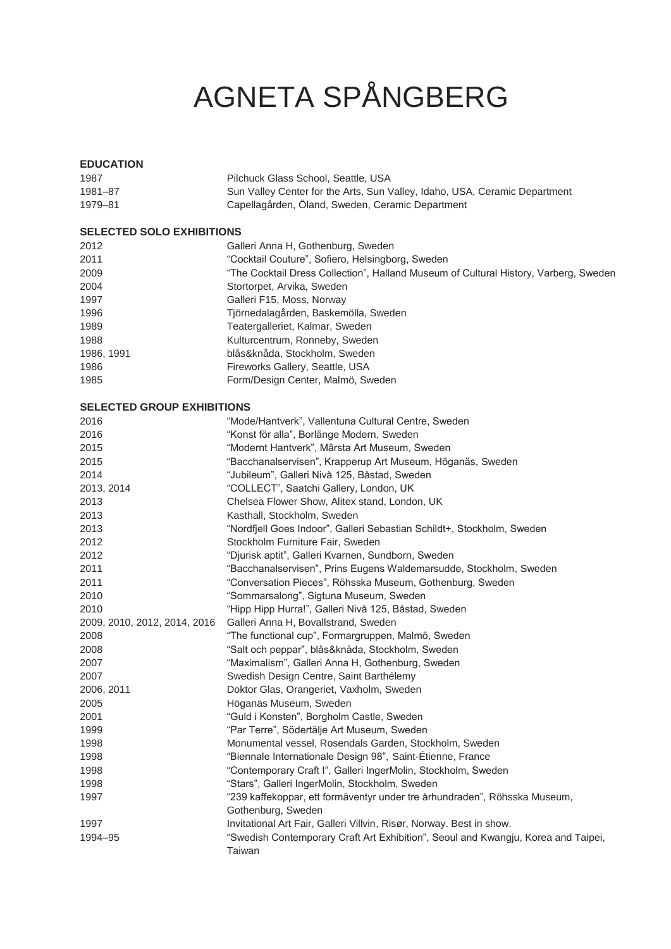# AGNETA SPÅNGBERG

# **EDUCATION**

| 1987    | Pilchuck Glass School, Seattle, USA                                        |
|---------|----------------------------------------------------------------------------|
| 1981-87 | Sun Valley Center for the Arts, Sun Valley, Idaho, USA, Ceramic Department |
| 1979-81 | Capellagården, Öland, Sweden, Ceramic Department                           |

## **SELECTED SOLO EXHIBITIONS**

| 2012       | Galleri Anna H, Gothenburg, Sweden                                                   |
|------------|--------------------------------------------------------------------------------------|
| 2011       | "Cocktail Couture", Sofiero, Helsingborg, Sweden                                     |
| 2009       | "The Cocktail Dress Collection", Halland Museum of Cultural History, Varberg, Sweden |
| 2004       | Stortorpet, Arvika, Sweden                                                           |
| 1997       | Galleri F15, Moss, Norway                                                            |
| 1996       | Tjörnedalagården, Baskemölla, Sweden                                                 |
| 1989       | Teatergalleriet, Kalmar, Sweden                                                      |
| 1988       | Kulturcentrum, Ronneby, Sweden                                                       |
| 1986, 1991 | blås&knåda, Stockholm, Sweden                                                        |
| 1986       | Fireworks Gallery, Seattle, USA                                                      |
| 1985       | Form/Design Center, Malmö, Sweden                                                    |
|            |                                                                                      |

## **SELECTED GROUP EXHIBITIONS**

| 2016                         | "Mode/Hantverk", Vallentuna Cultural Centre, Sweden                               |
|------------------------------|-----------------------------------------------------------------------------------|
| 2016                         | "Konst för alla", Borlänge Modern, Sweden                                         |
| 2015                         | "Modernt Hantverk", Märsta Art Museum, Sweden                                     |
| 2015                         | "Bacchanalservisen", Krapperup Art Museum, Höganäs, Sweden                        |
| 2014                         | "Jubileum", Galleri Nivå 125, Båstad, Sweden                                      |
| 2013, 2014                   | "COLLECT", Saatchi Gallery, London, UK                                            |
| 2013                         | Chelsea Flower Show, Alitex stand, London, UK                                     |
| 2013                         | Kasthall, Stockholm, Sweden                                                       |
| 2013                         | "Nordfjell Goes Indoor", Galleri Sebastian Schildt+, Stockholm, Sweden            |
| 2012                         | Stockholm Furniture Fair, Sweden                                                  |
| 2012                         | "Djurisk aptit", Galleri Kvarnen, Sundborn, Sweden                                |
| 2011                         | "Bacchanalservisen", Prins Eugens Waldemarsudde, Stockholm, Sweden                |
| 2011                         | "Conversation Pieces", Röhsska Museum, Gothenburg, Sweden                         |
| 2010                         | "Sommarsalong", Sigtuna Museum, Sweden                                            |
| 2010                         | "Hipp Hipp Hurra!", Galleri Nivå 125, Båstad, Sweden                              |
| 2009, 2010, 2012, 2014, 2016 | Galleri Anna H, Bovallstrand, Sweden                                              |
| 2008                         | "The functional cup", Formargruppen, Malmö, Sweden                                |
| 2008                         | "Salt och peppar", blås&knåda, Stockholm, Sweden                                  |
| 2007                         | "Maximalism", Galleri Anna H, Gothenburg, Sweden                                  |
| 2007                         | Swedish Design Centre, Saint Barthélemy                                           |
| 2006, 2011                   | Doktor Glas, Orangeriet, Vaxholm, Sweden                                          |
| 2005                         | Höganäs Museum, Sweden                                                            |
| 2001                         | "Guld i Konsten", Borgholm Castle, Sweden                                         |
| 1999                         | "Par Terre", Södertälje Art Museum, Sweden                                        |
| 1998                         | Monumental vessel, Rosendals Garden, Stockholm, Sweden                            |
| 1998                         | "Biennale Internationale Design 98", Saint-Étienne, France                        |
| 1998                         | "Contemporary Craft I", Galleri IngerMolin, Stockholm, Sweden                     |
| 1998                         | "Stars", Galleri IngerMolin, Stockholm, Sweden                                    |
| 1997                         | "239 kaffekoppar, ett formäventyr under tre århundraden", Röhsska Museum,         |
|                              | Gothenburg, Sweden                                                                |
| 1997                         | Invitational Art Fair, Galleri Villvin, Risør, Norway. Best in show.              |
| 1994-95                      | "Swedish Contemporary Craft Art Exhibition", Seoul and Kwangju, Korea and Taipei, |
|                              | Taiwan                                                                            |